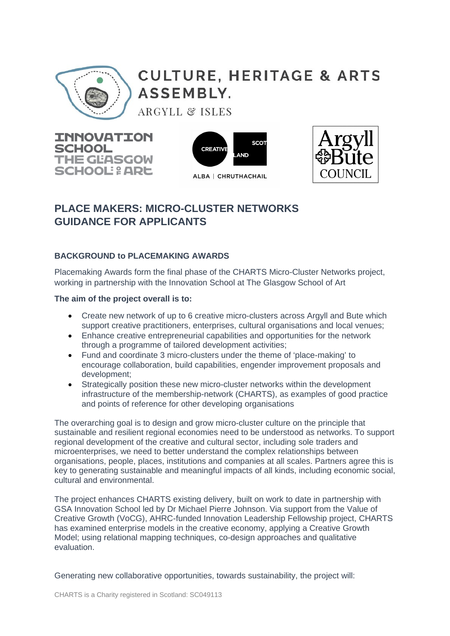

# **CULTURE, HERITAGE & ARTS** ASSEMBLY.

ARGYLL & ISLES

**TNNOVATION SCHOOL** THE GEASGOW **SCHOOL: ARE** 





# **PLACE MAKERS: MICRO-CLUSTER NETWORKS GUIDANCE FOR APPLICANTS**

# **BACKGROUND to PLACEMAKING AWARDS**

Placemaking Awards form the final phase of the CHARTS Micro-Cluster Networks project, working in partnership with the Innovation School at The Glasgow School of Art

### **The aim of the project overall is to:**

- Create new network of up to 6 creative micro-clusters across Argyll and Bute which support creative practitioners, enterprises, cultural organisations and local venues;
- Enhance creative entrepreneurial capabilities and opportunities for the network through a programme of tailored development activities;
- Fund and coordinate 3 micro-clusters under the theme of 'place-making' to encourage collaboration, build capabilities, engender improvement proposals and development;
- Strategically position these new micro-cluster networks within the development infrastructure of the membership-network (CHARTS), as examples of good practice and points of reference for other developing organisations

The overarching goal is to design and grow micro-cluster culture on the principle that sustainable and resilient regional economies need to be understood as networks. To support regional development of the creative and cultural sector, including sole traders and microenterprises, we need to better understand the complex relationships between organisations, people, places, institutions and companies at all scales. Partners agree this is key to generating sustainable and meaningful impacts of all kinds, including economic social, cultural and environmental.

The project enhances CHARTS existing delivery, built on work to date in partnership with GSA Innovation School led by Dr Michael Pierre Johnson. Via support from the Value of Creative Growth (VoCG), AHRC-funded Innovation Leadership Fellowship project, CHARTS has examined enterprise models in the creative economy, applying a Creative Growth Model; using relational mapping techniques, co-design approaches and qualitative evaluation.

Generating new collaborative opportunities, towards sustainability, the project will: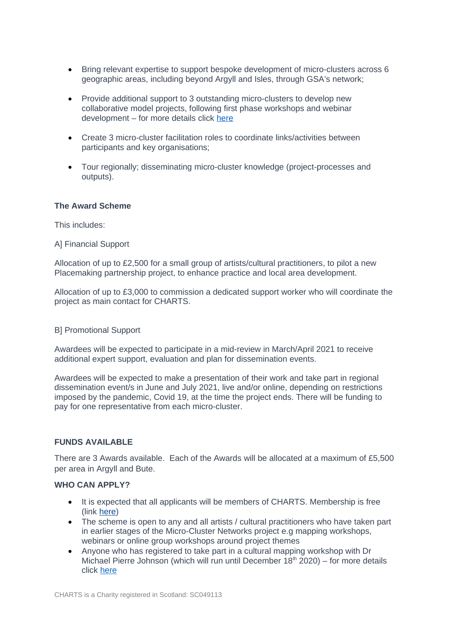- Bring relevant expertise to support bespoke development of micro-clusters across 6 geographic areas, including beyond Argyll and Isles, through GSA's network;
- Provide additional support to 3 outstanding micro-clusters to develop new collaborative model projects, following first phase workshops and webinar development *–* for more details click [here](https://www.chartsargyllandisles.org/opportunities/placemakersfund/)
- Create 3 micro-cluster facilitation roles to coordinate links/activities between participants and key organisations;
- Tour regionally; disseminating micro-cluster knowledge (project-processes and outputs).

#### **The Award Scheme**

This includes:

#### A] Financial Support

Allocation of up to £2,500 for a small group of artists/cultural practitioners, to pilot a new Placemaking partnership project, to enhance practice and local area development.

Allocation of up to £3,000 to commission a dedicated support worker who will coordinate the project as main contact for CHARTS.

#### B] Promotional Support

Awardees will be expected to participate in a mid-review in March/April 2021 to receive additional expert support, evaluation and plan for dissemination events.

Awardees will be expected to make a presentation of their work and take part in regional dissemination event/s in June and July 2021, live and/or online, depending on restrictions imposed by the pandemic, Covid 19, at the time the project ends. There will be funding to pay for one representative from each micro-cluster.

#### **FUNDS AVAILABLE**

There are 3 Awards available. Each of the Awards will be allocated at a maximum of £5,500 per area in Argyll and Bute.

#### **WHO CAN APPLY?**

- It is expected that all applicants will be members of CHARTS. Membership is free (link [here\)](https://www.chartsargyllandisles.org/register/)
- The scheme is open to any and all artists / cultural practitioners who have taken part in earlier stages of the Micro-Cluster Networks project e.g mapping workshops, webinars or online group workshops around project themes
- Anyone who has registered to take part in a cultural mapping workshop with Dr Michael Pierre Johnson (which will run until December 18<sup>th</sup> 2020) – for more details click [here](https://www.chartsargyllandisles.org/opportunities/map-your-cultural-profile-and-apply-for-cash-to-create-in-your-area-early-bird-opportunity-for-all-members/)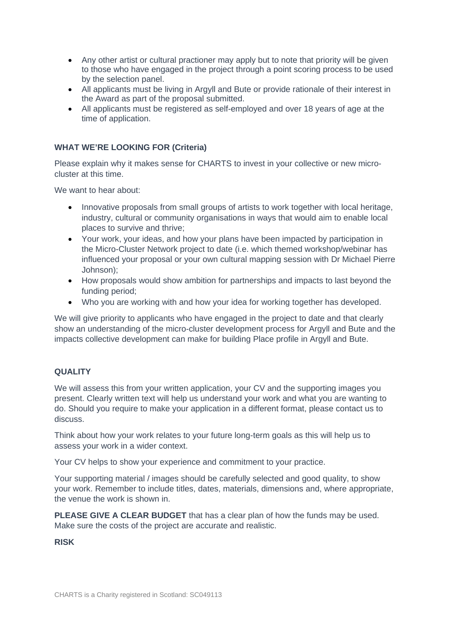- Any other artist or cultural practioner may apply but to note that priority will be given to those who have engaged in the project through a point scoring process to be used by the selection panel.
- All applicants must be living in Argyll and Bute or provide rationale of their interest in the Award as part of the proposal submitted.
- All applicants must be registered as self-employed and over 18 years of age at the time of application.

#### **WHAT WE'RE LOOKING FOR (Criteria)**

Please explain why it makes sense for CHARTS to invest in your collective or new microcluster at this time.

We want to hear about:

- Innovative proposals from small groups of artists to work together with local heritage, industry, cultural or community organisations in ways that would aim to enable local places to survive and thrive;
- Your work, your ideas, and how your plans have been impacted by participation in the Micro-Cluster Network project to date (i.e. which themed workshop/webinar has influenced your proposal or your own cultural mapping session with Dr Michael Pierre Johnson);
- How proposals would show ambition for partnerships and impacts to last beyond the funding period;
- Who you are working with and how your idea for working together has developed.

We will give priority to applicants who have engaged in the project to date and that clearly show an understanding of the micro-cluster development process for Argyll and Bute and the impacts collective development can make for building Place profile in Argyll and Bute.

#### **QUALITY**

We will assess this from your written application, your CV and the supporting images you present. Clearly written text will help us understand your work and what you are wanting to do. Should you require to make your application in a different format, please contact us to discuss.

Think about how your work relates to your future long-term goals as this will help us to assess your work in a wider context.

Your CV helps to show your experience and commitment to your practice.

Your supporting material / images should be carefully selected and good quality, to show your work. Remember to include titles, dates, materials, dimensions and, where appropriate, the venue the work is shown in.

**PLEASE GIVE A CLEAR BUDGET** that has a clear plan of how the funds may be used. Make sure the costs of the project are accurate and realistic.

#### **RISK**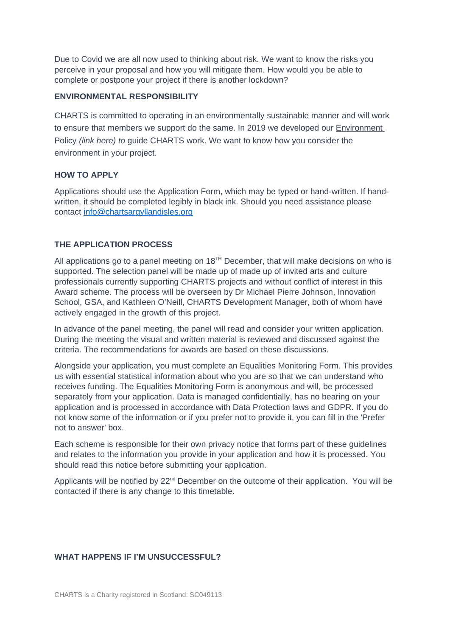Due to Covid we are all now used to thinking about risk. We want to know the risks you perceive in your proposal and how you will mitigate them. How would you be able to complete or postpone your project if there is another lockdown?

#### **ENVIRONMENTAL RESPONSIBILITY**

CHARTS is committed to operating in an environmentally sustainable manner and will work to ensure that members we support do the same. In 2019 we developed our **Environment** [Policy](https://www.creativescotland.com/resources/our-publications/policies/environment-policy) *(link here) to* guide CHARTS work. We want to know how you consider the environment in your project.

#### **HOW TO APPLY**

Applications should use the Application Form, which may be typed or hand-written. If handwritten, it should be completed legibly in black ink. Should you need assistance please contact [info@chartsargyllandisles.org](mailto:info@chartsargyllandisles.org)

#### **THE APPLICATION PROCESS**

All applications go to a panel meeting on  $18<sup>TH</sup>$  December, that will make decisions on who is supported. The selection panel will be made up of made up of invited arts and culture professionals currently supporting CHARTS projects and without conflict of interest in this Award scheme. The process will be overseen by Dr Michael Pierre Johnson, Innovation School, GSA, and Kathleen O'Neill, CHARTS Development Manager, both of whom have actively engaged in the growth of this project.

In advance of the panel meeting, the panel will read and consider your written application. During the meeting the visual and written material is reviewed and discussed against the criteria. The recommendations for awards are based on these discussions.

Alongside your application, you must complete an Equalities Monitoring Form. This provides us with essential statistical information about who you are so that we can understand who receives funding. The Equalities Monitoring Form is anonymous and will, be processed separately from your application. Data is managed confidentially, has no bearing on your application and is processed in accordance with Data Protection laws and GDPR. If you do not know some of the information or if you prefer not to provide it, you can fill in the 'Prefer not to answer' box.

Each scheme is responsible for their own privacy notice that forms part of these guidelines and relates to the information you provide in your application and how it is processed. You should read this notice before submitting your application.

Applicants will be notified by  $22<sup>nd</sup>$  December on the outcome of their application. You will be contacted if there is any change to this timetable.

#### **WHAT HAPPENS IF I'M UNSUCCESSFUL?**